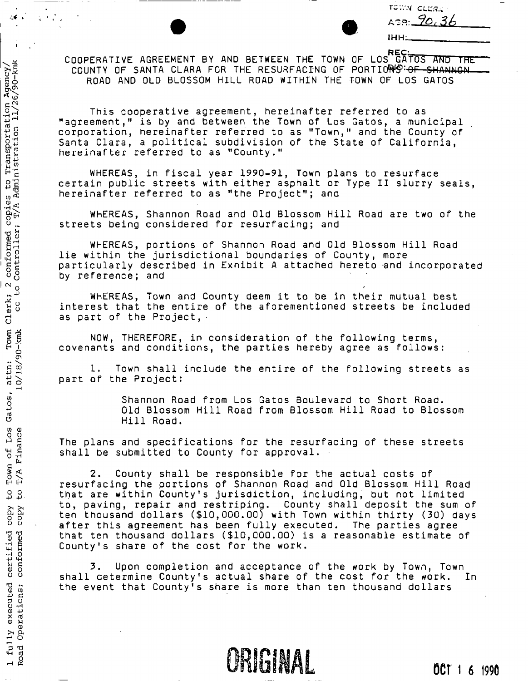|    | <b>LOWA CLESK</b> |    |  |  |
|----|-------------------|----|--|--|
| r. | 90.               | 36 |  |  |

IHH:

COOPERATIVE AGREEMENT BY AND BETWEEN THE TOWN OF LOS GATOS AND THE COUNTY OF SANTA CLARA FOR THE RESURFACING OF PORTIONS: OF SHANNON COUNTY OF SANTA CLARA FOR THE RESURFACING OF PORTIOWS <del>OF SHANNON.</del><br>DOAD AND OLD BLOSSON UTLL BOAD WITHING THE TOWN OF LOS CATOS. ROAD AND OLD BLOSSOM HILL ROAD WITHIN THE TOWN OF LOS GATOS

This cooperative agreement, hereinafter referred to as "agreement," is by and between the Town of Los Gatos, a municipal corporation, hereinafter referred to as "Town," and the County of Santa Clara, a political subdivision of the State of California, hereinafter referred to as "County."

WHEREAS, in fiscal year 1990-91, Town plans to resurface certain public streets with either asphalt or Type II slurry seals, hereinafter referred to as "the Project"; and

conformed copies to Transportation Agency/<br>Controller; T/A Administration 11/26/90-kmk

 $\sim$  $\frac{1}{2}$ 

Clerk; °

Town

Gatos,

Los Finance bť

Town<br> $T/A$  E

 $\mathfrak{p}$  $\mathbf{S}$ 

copy rdo<br>K

certified conformed

executed Operations;

 $f_{\rm u11Y}$  $\frac{1 \text{ } \text{fid}}{\text{Road}}$ 

 $10/18/90$ -kmk attn:

WHEREAS, Shannon Road and Old Blossom Hill Road are two of the streets being considered for resurfacing; and

WHEREAS, portions of Shannon Road and Old Blossom Hill Road lie within the jurisdictional boundaries of County, more particularly described in Exhibit A attached hereto and incorporated by reference; and

WHEREAS, Town and County deem it to be in their mutual best interest that the entire of the aforementioned streets be included as part of the Project,  $\cdot$ 

NOW, THEREFORE, in consideration of the following terms, covenants and conditions, the parties hereby agree as follows:

1. Town shall include the entire of the following streets as part of the Project:

> Shannon Road from Los Gatos Boulevard to Short Road. Old Blossom Hill Road from Blossom Hill Road to Blossom Hill Road.

The plans and specifications for the resurfacing of these streets shall be submitted to County for approval.

2. County shall be responsible for the actual costs of resurfacing the portions of Shannon Road and Old Blossom Hill Road that are within County's jurisdiction, including, but not limited to, paving, repair and restriping. County shall deposit the sum of ten thousand dollars (\$10,000.00) with Town within thirty (30) days after this agreement has been fully executed. The parties agree that ten thousand dollars (\$10,000.00) is a reasonable estimate of County's share of the cost for the work.

3. Upon completion and acceptance of the work by Town, Town shall determine County's actual share of the cost for the work. In the event that County's share is more than ten thousand dollars

**CRIGINAL** 

OCT 1 6 1990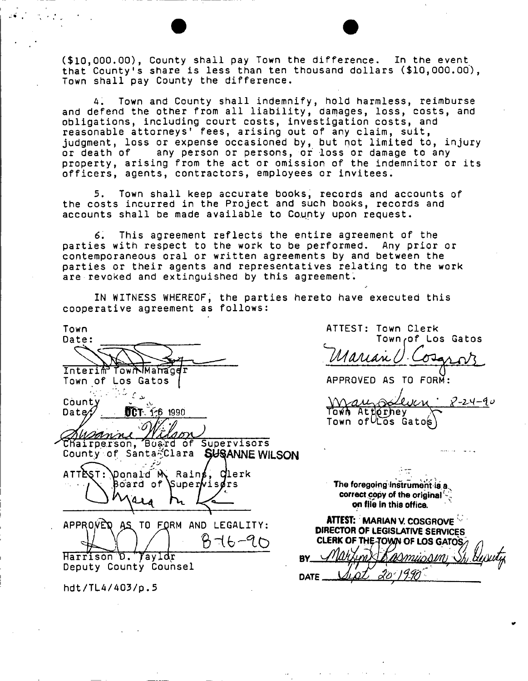(\$10,000.00), County shall pay Town the difference. In the event that County's share is less than ten thousand dollars (\$10,000.00), Town shall pay County the difference.

4. Town and County shall indemnify, hold harmless, reimburse and defend the other from all liability, damages, loss, costs, and obligations, including court costs, investigation costs, and reasonable attorneys<sup>1</sup> fees, arising out of any claim, suit, judgment, loss or expense occasioned by, but not limited to, injury or death of any person or persons, or loss or damage to any property, arising from the act or omission of the indemnitor or its officers, agents, contractors, employees or invitees.

5. Town shall keep accurate books, records and accounts of the costs incurred in the Project and such books, records and accounts shall be made available to County upon request.

6. This agreement reflects the entire agreement of the parties with respect to the work to be performed. Any prior or contemporaneous oral or written agreements by and between the parties or their agents and representatives relating to the work are revoked and extinguished by this agreement.

IN WITNESS WHEREOF, the parties hereto have executed this cooperative agreement as follows:

| Town                                           |
|------------------------------------------------|
| Date:                                          |
|                                                |
|                                                |
| Interim Town Manager                           |
| Town of Los Gatos                              |
|                                                |
| County                                         |
|                                                |
| <b>UCT</b> 1-6 1990<br>Date⁄;                  |
|                                                |
|                                                |
| Chairperson, Buard of Supervisors              |
| County of Santa-Clara<br><b>SUSANNE WILSON</b> |
|                                                |
| ponald M Rains, Clerk<br>ATTEST:               |
| Board of Superwisdrs                           |
|                                                |
|                                                |
|                                                |
| APPROVED AS TO FORM AND LEGALITY:              |
|                                                |
| $276 - 90$                                     |
|                                                |
| <b>D. 7ayldr</b><br>Harrison<br>8              |
| Deputy County Counsel                          |

hdt/TL4/403/p. 5

ATTEST: Town Clerk Townrof Los Gatos *""IMAAAJLhl*   $\sigma$ Ja

APPROVED AS TO FOR sollier Mau  $2 - 24 - 90$ Town Attorney<br>Town of Los Gatos

The foregoing instrument-is a. **correct copy of the original on file in this office.** 

| <b>ATTEST: MARIAN V. COSGROVE</b><br>DIRECTOR OF LEGISLATIVE SERVICES |
|-----------------------------------------------------------------------|
| CLERK OF THE TOWN OF LOS GATOS                                        |
| Marxin Kasmussin St Guesty                                            |
|                                                                       |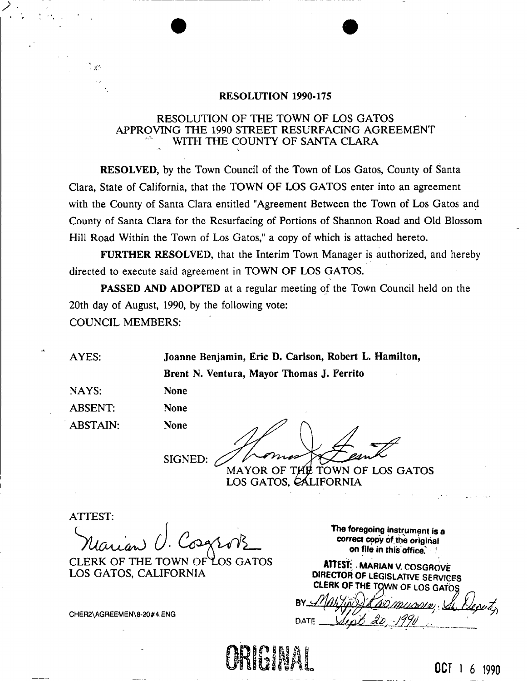# **RESOLUTION 1990-175**

# RESOLUTION OF THE TOWN OF LOS GATOS APPROVING THE 1990 STREET RESURFACING AGREEMENT WITH THE COUNTY OF SANTA CLARA

**RESOLVED,** by the Town Council of the Town of Los Gatos, County of Santa Clara, State of California, that the TOWN OF LOS GATOS enter into an agreement with the County of Santa Clara entitled "Agreement Between the Town of Los Gatos and County of Santa Clara for the Resurfacing of Portions of Shannon Road and Old Blossom Hill Road Within the Town of Los Gatos," a copy of which is attached hereto.

**FURTHER RESOLVED,** that the Interim Town Manager is authorized, and hereby directed to execute said agreement in TOWN OF LOS GATOS.

PASSED AND ADOPTED at a regular meeting of the Town Council held on the 20th day of August, 1990, by the following vote: COUNCIL MEMBERS:

**AYES: Joanne Benjamin, Eric D. Carlson, Robert L. Hamilton,** 

**Brent N. Ventura, Mayor Thomas J. Ferrito** 

NAYS: ABSENT: ABSTAIN:

 $\frac{1}{2}$ 

SIGNED:

MAYOR OF THE TOWN OF LOS GATOS LOS GATOS, CALIFORNIA

ATTEST:

**None None None** 

**CLERK OF THE TOWN** LOS GATOS LOS GATOS, CALIFORNIA

CHER2\AGREEMEN\8-20#4.ENG

The foregoing instrument is a **correct copy of the original on file in this office.** 

ATTEST: MARIAN V. COSGROVE **DIRECTOR OF LEGISLATIVE SERVICES**<br>CLERK OF THE TOWN OF LOS GATOS

DATE



OCT 1 6 1990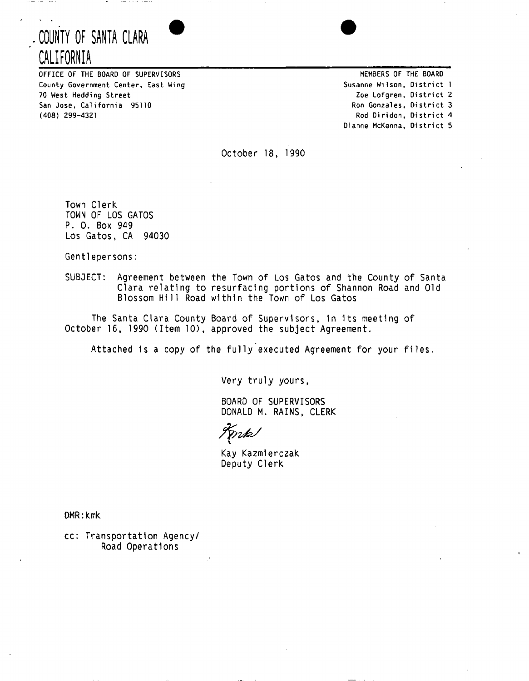# **. COUNTY OF SANTA CLARA CALIFORNIA**



OFFICE OF THE BOARD OF SUPERVISORS County Government Center, East Wing 70 West Hedding Street San Jose, California 95110 (408) 299-4321

MEMBERS OF THE BOARD Susanne Wilson, District 1 Zoe Lofgren, District 2 Ron Gonzales, District 3 Rod Diridon, District 4 Dianne McKenna, District 5

October 18, 1990

Town Clerk TOWN OF LOS GATOS P. 0. Box 949 Los Gatos, CA 94030

Gentlepersons:

SUBJECT: Agreement between the Town of Los Gatos and the County of Santa Clara relating to resurfacing portions of Shannon Road and Old Blossom Hill Road within the Town of Los Gatos

The Santa Clara County Board of Supervisors, In its meeting of October 16, 1990 (Item 10), approved the subject Agreement.

Attached is a copy of the fully executed Agreement for your files.

Very truly yours,

BOARD OF SUPERVISORS DONALD M. RAINS, CLERK

Tonk

Kay Kazmlerczak Deputy Clerk

DMR:kmk

cc: Transportation Agency/ Road Operations

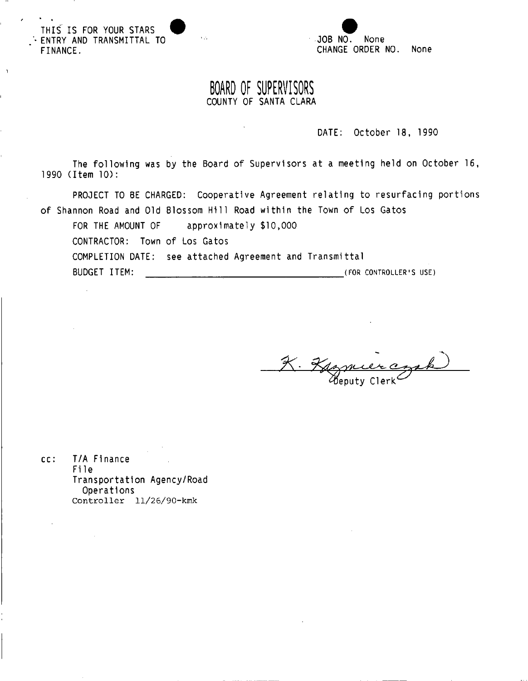THIS IS FOR YOUR STARS ^ • ENTRY AND TRANSMITTAL TO FINANCE.



# **BOARD OF SUPERVISORS**  COUNTY OF SANTA CLARA

 $\mathcal{A}_{\mathcal{A}}$ 

DATE: October 18, 1990

The following was by the Board of Supervisors at a meeting held on October 16, 1990 (Item 10):

PROJECT TO BE CHARGED: Cooperative Agreement relating to resurfacing portions of Shannon Road and Old Blossom H111 Road within the Town of Los Gatos

FOR THE AMOUNT OF approximately \$10,000 CONTRACTOR: Town of Los Gatos COMPLETION DATE: see attached Agreement and Transmittal BUDGET ITEM:  $\qquad \qquad \qquad (for controueter's use)$ 

Deputy Clerk

cc: T/A Finance File Transportation Agency/Road Operations Controller 11/26/90-kmk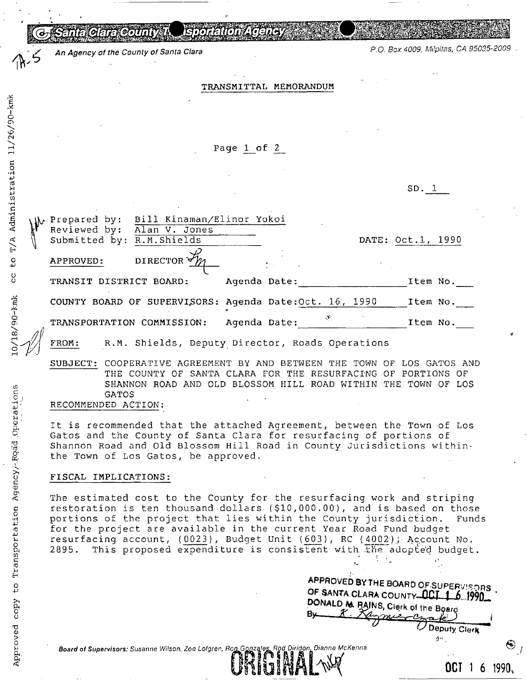Santa Glara Count

*y An Agency of the County of Santa Clara P.O. Box 4009, Milpitas, CA 95035-2009* 

TRANSMITTAL MEMORANDUM

Page 1 of 2

SD. 1

| $\mathcal{H}_{\mathcal{W}}$                              |           | Prepared by: Bill Kinaman/Elinor Yokoi<br>Reviewed by: Alan V. Jones<br>Submitted by: R.M. Shields |              |  |                             | DATE: Oct.1, 1990 |  |
|----------------------------------------------------------|-----------|----------------------------------------------------------------------------------------------------|--------------|--|-----------------------------|-------------------|--|
|                                                          | APPROVED: | DIRECTOR $\forall$                                                                                 |              |  |                             |                   |  |
|                                                          |           | TRANSIT DISTRICT BOARD:                                                                            | Agenda Date: |  |                             | Item No.          |  |
|                                                          |           | COUNTY BOARD OF SUPERVISORS: Agenda Date: Oct. 16, 1990                                            |              |  |                             | Item No.          |  |
|                                                          |           | TRANSPORTATION COMMISSION:                                                                         | Agenda Date: |  | $\mathcal{N}_{\mathcal{A}}$ | Item No.          |  |
| R.M. Shields, Deputy Director, Roads Operations<br>FROM: |           |                                                                                                    |              |  |                             |                   |  |
|                                                          |           | SUBJECT: COOPERATIVE AGREEMENT BY AND BETWEEN THE TOWN OF LOS GATOS AN                             |              |  |                             |                   |  |

SUBJECT: COOPERATIVE AGREEMENT BY AND BETWEEN THE TOWN OF LOS GATOS AND THE COUNTY OF SANTA CLARA FOR THE RESURFACING OF PORTIONS OF SHANNON ROAD AND OLD BLOSSOM HILL ROAD WITHIN THE TOWN OF LOS GATOS RECOMMENDED ACTION:

It is recommended that the attached Agreement, between the Town of Los Gatos and the County of Santa Clara for resurfacing of portions of Shannon Road and Old Blossom Hill Road in County Jurisdictions withinthe Town of Los Gatos, be approved.

## FISCAL IMPLICATIONS:

The estimated cost to the County for the resurfacing work and striping restoration is ten thousand dollars (\$10,000.00), and is based on those portions of the project that lies within the County jurisdiction. Funds for the project are available in the current Year Road Fund budget resurfacing account, (0023), Budget Unit (603), RC (4002); Account No. 2895. This proposed expenditure is consistent with the adopted budget.

APPROVED BY THE BOARD OF SUPERVISORS OF SANTA CLARA COUNTY-OCT 1 6 1990 DONALD \* *RMNS,* Clerk of the Board *?(* ^Y\* i  $-\alpha$ Deputy Clerk

OCT 1 6 1990,

*Board of Supervisors: Susanne Wilson, Zoe Lofgren, ^ofiLponza/^L Rod DiridonDianne McKenna* **®** 

 $-0.6$ *y£>* (N

ration

 $\mathbf{B}$  $\sinh$ 

 $\mathbb{R}$  $\mathbf{H}^{\top}$  $\mathfrak{g}$ 

CO<sub>1</sub>

 $0/18/90$ -kmk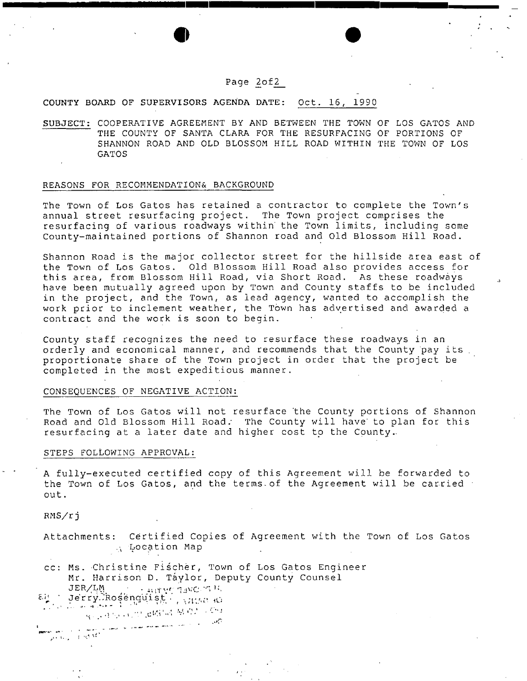# Page 2of2

 $\bullet$   $\bullet$ 

### COUNTY BOARD OF SUPERVISORS AGENDA DATE: Oct. 16, 1990

SUBJECT: COOPERATIVE AGREEMENT BY AND BETWEEN THE TOWN OF LOS GATOS AND THE COUNTY OF SANTA CLARA FOR THE RESURFACING OF PORTIONS OF SHANNON ROAD AND OLD BLOSSOM HILL ROAD WITHIN THE TOWN OF LOS GATOS

#### REASONS FOR RECOMMENDATIONS BACKGROUND

The Town of Los Gatos has retained a contractor to complete the Town's annual street resurfacing project. The Town project comprises the resurfacing of various roadways within' the Town limits, including some County-maintained portions of Shannon road and Old Blossom Hill Road.

Shannon Road is the major collector street for the hillside area east of the Town of Los Gatos. Old Blossom Hill Road also provides access for this area, from Blossom Hill Road, via Short Road. As these roadways have been mutually agreed upon by Town and County staffs to be included in the project, and the Town, as lead agency, wanted to accomplish the work prior to inclement weather, the Town has advertised and awarded a contract and the work is soon to begin.

County staff recognizes the need to resurface these roadways in an orderly and economical manner, and recommends that the County pay its . proportionate share of the Town project in order that the project be completed in the most expeditious manner.

#### CONSEQUENCES OF NEGATIVE ACTION:

The Town of Los Gatos will not resurface the County portions of Shannon Road and Old Blossom Hill Road: The County will have' to plan for this resurfacing at a later date and higher cost to the County.

#### STEPS FOLLOWING APPROVAL:

A fully-executed certified copy of this Agreement will be forwarded to the Town of Los Gatos, and the terms^of the Agreement will be carried out.

RMS/rj

م<br>والتفاعيل المساحين  $\frac{1}{2}$ 

- Attachments: Certified Copies of Agreement with the Town of Los Gatos Location Map
- cc: Ms. Christine Fiścher, Town of Los Gatos Engineer Mr. Harrison D. Taylor, Deputy County Counsel JER/IM ... . . HITVE TING THE
- $\epsilon$ k Jerry Rosenquist ; vass d Research of the Wind With Political